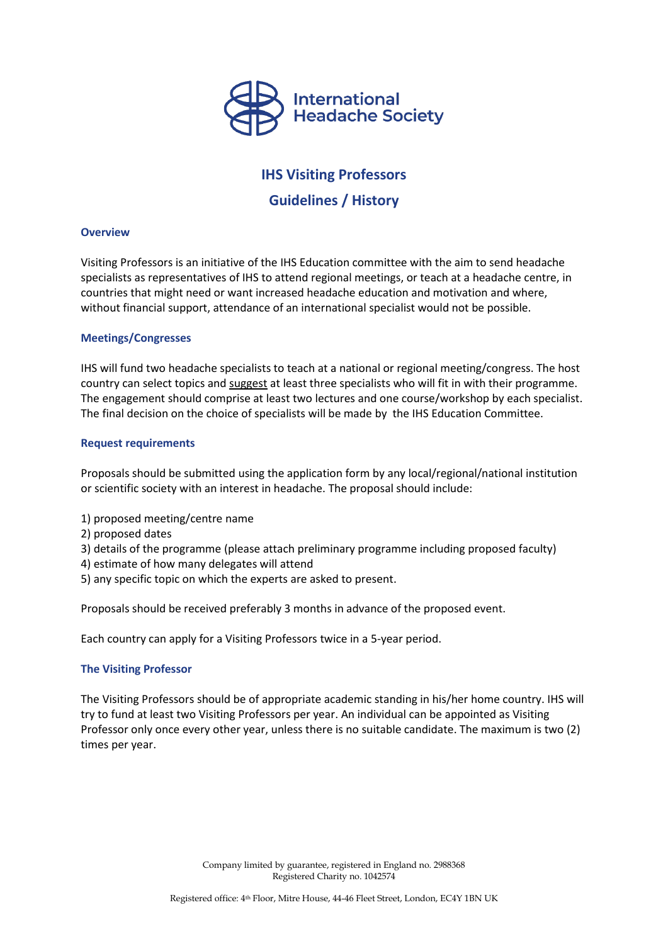

# **IHS Visiting Professors**

# **Guidelines / History**

# **Overview**

Visiting Professors is an initiative of the IHS Education committee with the aim to send headache specialists as representatives of IHS to attend regional meetings, or teach at a headache centre, in countries that might need or want increased headache education and motivation and where, without financial support, attendance of an international specialist would not be possible.

#### **Meetings/Congresses**

IHS will fund two headache specialists to teach at a national or regional meeting/congress. The host country can select topics and suggest at least three specialists who will fit in with their programme. The engagement should comprise at least two lectures and one course/workshop by each specialist. The final decision on the choice of specialists will be made by the IHS Education Committee.

#### **Request requirements**

Proposals should be submitted using the application form by any local/regional/national institution or scientific society with an interest in headache. The proposal should include:

- 1) proposed meeting/centre name
- 2) proposed dates
- 3) details of the programme (please attach preliminary programme including proposed faculty)
- 4) estimate of how many delegates will attend
- 5) any specific topic on which the experts are asked to present.

Proposals should be received preferably 3 months in advance of the proposed event.

Each country can apply for a Visiting Professors twice in a 5-year period.

# **The Visiting Professor**

The Visiting Professors should be of appropriate academic standing in his/her home country. IHS will try to fund at least two Visiting Professors per year. An individual can be appointed as Visiting Professor only once every other year, unless there is no suitable candidate. The maximum is two (2) times per year.

> Company limited by guarantee, registered in England no. 2988368 Registered Charity no. 1042574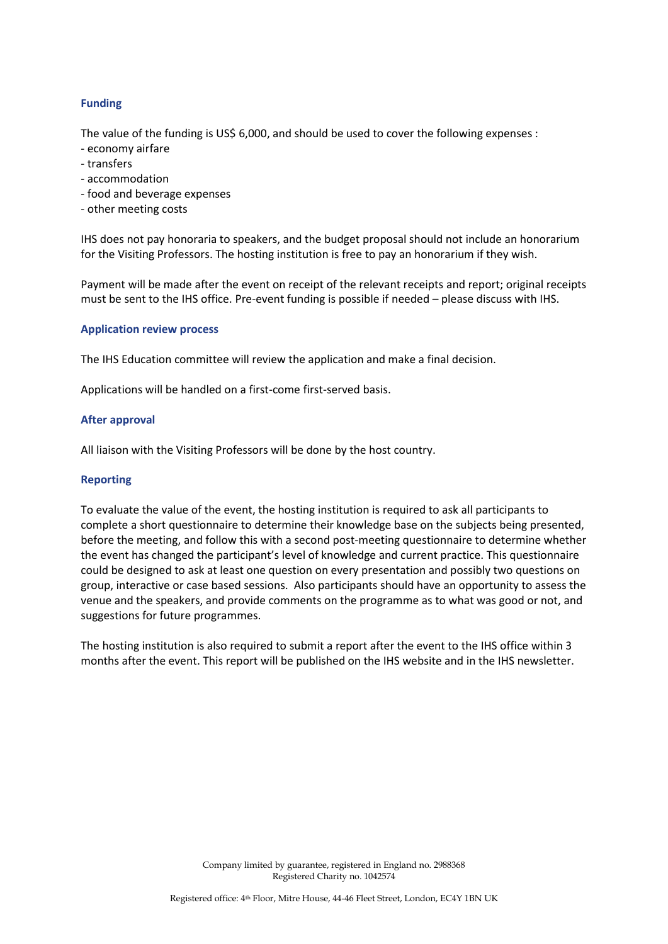# **Funding**

The value of the funding is US\$ 6,000, and should be used to cover the following expenses :

- economy airfare
- transfers
- accommodation
- food and beverage expenses
- other meeting costs

IHS does not pay honoraria to speakers, and the budget proposal should not include an honorarium for the Visiting Professors. The hosting institution is free to pay an honorarium if they wish.

Payment will be made after the event on receipt of the relevant receipts and report; original receipts must be sent to the IHS office. Pre-event funding is possible if needed – please discuss with IHS.

#### **Application review process**

The IHS Education committee will review the application and make a final decision.

Applications will be handled on a first-come first-served basis.

#### **After approval**

All liaison with the Visiting Professors will be done by the host country.

# **Reporting**

To evaluate the value of the event, the hosting institution is required to ask all participants to complete a short questionnaire to determine their knowledge base on the subjects being presented, before the meeting, and follow this with a second post-meeting questionnaire to determine whether the event has changed the participant's level of knowledge and current practice. This questionnaire could be designed to ask at least one question on every presentation and possibly two questions on group, interactive or case based sessions. Also participants should have an opportunity to assess the venue and the speakers, and provide comments on the programme as to what was good or not, and suggestions for future programmes.

The hosting institution is also required to submit a report after the event to the IHS office within 3 months after the event. This report will be published on the IHS website and in the IHS newsletter.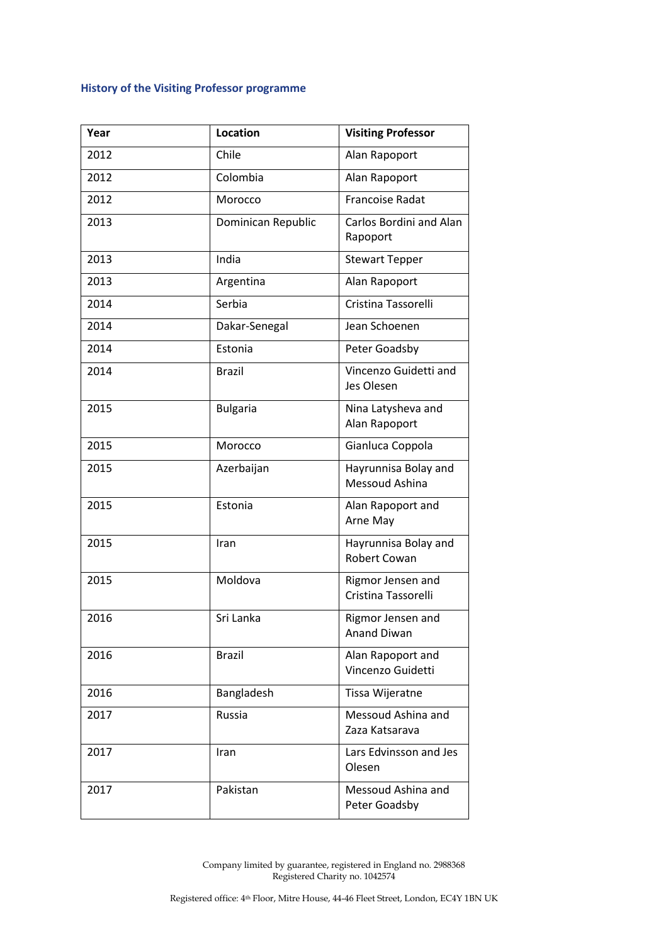# **History of the Visiting Professor programme**

| Year | <b>Location</b>    | <b>Visiting Professor</b>                   |
|------|--------------------|---------------------------------------------|
| 2012 | Chile              | Alan Rapoport                               |
| 2012 | Colombia           | Alan Rapoport                               |
| 2012 | Morocco            | <b>Francoise Radat</b>                      |
| 2013 | Dominican Republic | Carlos Bordini and Alan<br>Rapoport         |
| 2013 | India              | <b>Stewart Tepper</b>                       |
| 2013 | Argentina          | Alan Rapoport                               |
| 2014 | Serbia             | Cristina Tassorelli                         |
| 2014 | Dakar-Senegal      | Jean Schoenen                               |
| 2014 | Estonia            | Peter Goadsby                               |
| 2014 | <b>Brazil</b>      | Vincenzo Guidetti and<br>Jes Olesen         |
| 2015 | <b>Bulgaria</b>    | Nina Latysheva and<br>Alan Rapoport         |
| 2015 | Morocco            | Gianluca Coppola                            |
| 2015 | Azerbaijan         | Hayrunnisa Bolay and<br>Messoud Ashina      |
| 2015 | Estonia            | Alan Rapoport and<br>Arne May               |
| 2015 | Iran               | Hayrunnisa Bolay and<br><b>Robert Cowan</b> |
| 2015 | Moldova            | Rigmor Jensen and<br>Cristina Tassorelli    |
| 2016 | Sri Lanka          | Rigmor Jensen and<br><b>Anand Diwan</b>     |
| 2016 | <b>Brazil</b>      | Alan Rapoport and<br>Vincenzo Guidetti      |
| 2016 | Bangladesh         | Tissa Wijeratne                             |
| 2017 | Russia             | Messoud Ashina and<br>Zaza Katsarava        |
| 2017 | Iran               | Lars Edvinsson and Jes<br>Olesen            |
| 2017 | Pakistan           | Messoud Ashina and<br>Peter Goadsby         |

Company limited by guarantee, registered in England no. 2988368 Registered Charity no. 1042574